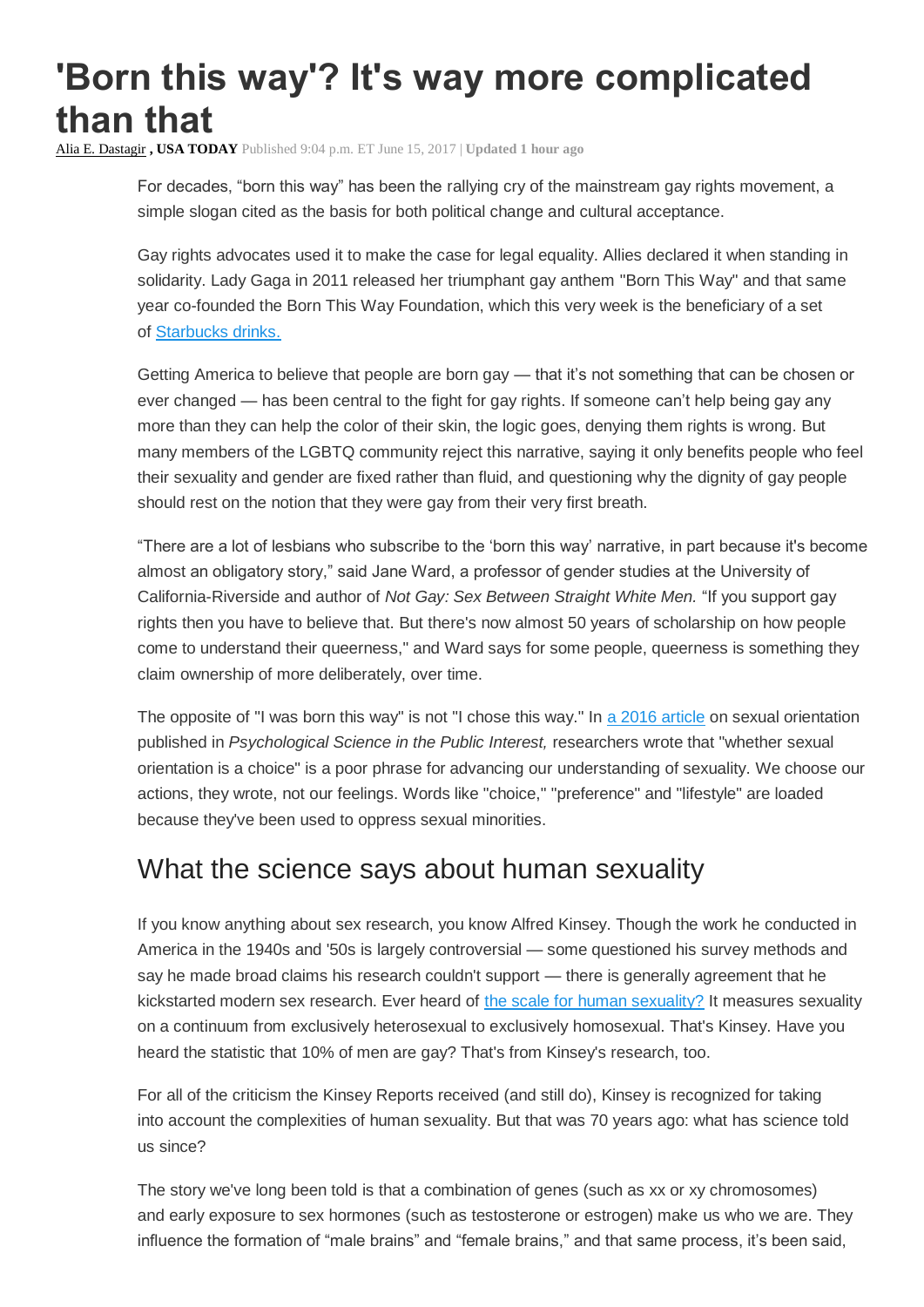## **'Born this way'? It's way more complicated than that**

[Alia E. Dastagir](http://www.usatoday.com/staff/2283/alia-e-dastagir/) **, USA TODAY** Published 9:04 p.m. ET June 15, 2017 | **Updated 1 hour ago**

For decades, "born this way" has been the rallying cry of the mainstream gay rights movement, a simple slogan cited as the basis for both political change and cultural acceptance.

Gay rights advocates used it to make the case for legal equality. Allies declared it when standing in solidarity. Lady Gaga in 2011 released her triumphant gay anthem "Born This Way" and that same year co-founded the Born This Way Foundation, which this very week is the beneficiary of a set of [Starbucks drinks.](https://www.usatoday.com/story/life/entertainthis/2017/06/12/lady-gaga-getting-her-own-starbucks-drinks-special-cause/102786736/)

Getting America to believe that people are born gay — that it's not something that can be chosen or ever changed — has been central to the fight for gay rights. If someone can't help being gay any more than they can help the color of their skin, the logic goes, denying them rights is wrong. But many members of the LGBTQ community reject this narrative, saying it only benefits people who feel their sexuality and gender are fixed rather than fluid, and questioning why the dignity of gay people should rest on the notion that they were gay from their very first breath.

"There are a lot of lesbians who subscribe to the 'born this way' narrative, in part because it's become almost an obligatory story," said Jane Ward, a professor of gender studies at the University of California-Riverside and author of *Not Gay: Sex Between Straight White Men.* "If you support gay rights then you have to believe that. But there's now almost 50 years of scholarship on how people come to understand their queerness," and Ward says for some people, queerness is something they claim ownership of more deliberately, over time.

The opposite of "I was born this way" is not "I chose this way." In [a 2016 article](http://journals.sagepub.com/doi/pdf/10.1177/1529100616637616) on sexual orientation published in *Psychological Science in the Public Interest,* researchers wrote that "whether sexual orientation is a choice" is a poor phrase for advancing our understanding of sexuality. We choose our actions, they wrote, not our feelings. Words like "choice," "preference" and "lifestyle" are loaded because they've been used to oppress sexual minorities.

## What the science says about human sexuality

If you know anything about sex research, you know Alfred Kinsey. Though the work he conducted in America in the 1940s and '50s is largely controversial — some questioned his survey methods and say he made broad claims his research couldn't support - there is generally agreement that he kickstarted modern sex research. Ever heard of [the scale for human sexuality?](https://www.kinseyinstitute.org/research/publications/kinsey-scale.php) It measures sexuality on a continuum from exclusively heterosexual to exclusively homosexual. That's Kinsey. Have you heard the statistic that 10% of men are gay? That's from Kinsey's research, too.

For all of the criticism the Kinsey Reports received (and still do), Kinsey is recognized for taking into account the complexities of human sexuality. But that was 70 years ago: what has science told us since?

The story we've long been told is that a combination of genes (such as xx or xy chromosomes) and early exposure to sex hormones (such as testosterone or estrogen) make us who we are. They influence the formation of "male brains" and "female brains," and that same process, it's been said,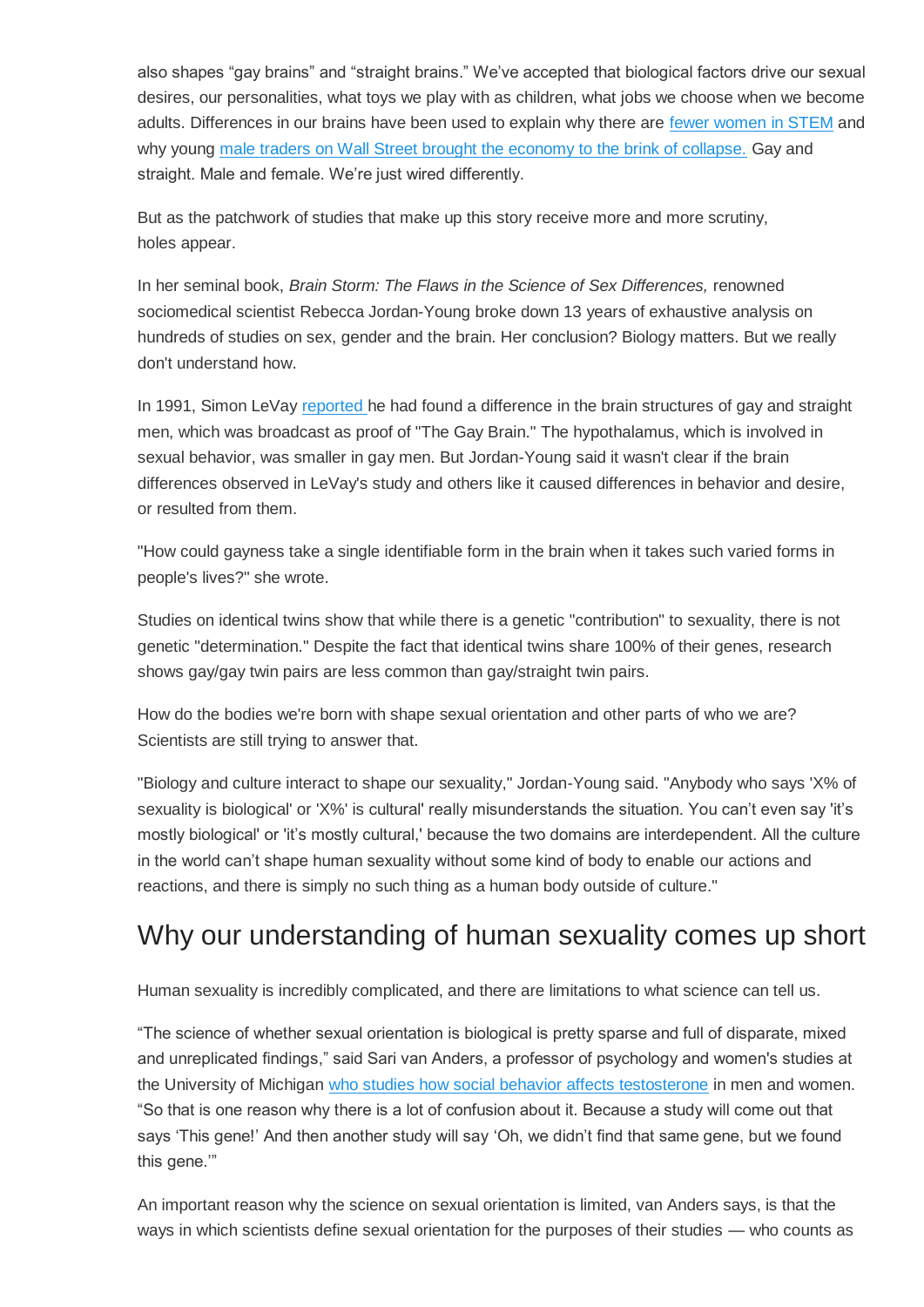also shapes "gay brains" and "straight brains." We've accepted that biological factors drive our sexual desires, our personalities, what toys we play with as children, what jobs we choose when we become adults. Differences in our brains have been used to explain why there are [fewer women](http://healthland.time.com/2011/09/15/the-problem-with-women-and-science-its-hormonal-%E2%80%94-or-is-it/) in STEM and why young [male traders on Wall Street brought the economy to the brink of collapse.](http://www.wired.co.uk/article/testosterone-financial-crisis) Gay and straight. Male and female. We're just wired differently.

But as the patchwork of studies that make up this story receive more and more scrutiny, holes appear.

In her seminal book, *Brain Storm: The Flaws in the Science of Sex Differences,* renowned sociomedical scientist Rebecca Jordan-Young broke down 13 years of exhaustive analysis on hundreds of studies on sex, gender and the brain. Her conclusion? Biology matters. But we really don't understand how.

In 1991, Simon LeVay [reported](https://www.ncbi.nlm.nih.gov/pubmed/1887219) he had found a difference in the brain structures of gay and straight men, which was broadcast as proof of "The Gay Brain." The hypothalamus, which is involved in sexual behavior, was smaller in gay men. But Jordan-Young said it wasn't clear if the brain differences observed in LeVay's study and others like it caused differences in behavior and desire, or resulted from them.

"How could gayness take a single identifiable form in the brain when it takes such varied forms in people's lives?" she wrote.

Studies on identical twins show that while there is a genetic "contribution" to sexuality, there is not genetic "determination." Despite the fact that identical twins share 100% of their genes, research shows gay/gay twin pairs are less common than gay/straight twin pairs.

How do the bodies we're born with shape sexual orientation and other parts of who we are? Scientists are still trying to answer that.

"Biology and culture interact to shape our sexuality," Jordan-Young said. "Anybody who says 'X% of sexuality is biological' or 'X%' is cultural' really misunderstands the situation. You can't even say 'it's mostly biological' or 'it's mostly cultural,' because the two domains are interdependent. All the culture in the world can't shape human sexuality without some kind of body to enable our actions and reactions, and there is simply no such thing as a human body outside of culture."

## Why our understanding of human sexuality comes up short

Human sexuality is incredibly complicated, and there are limitations to what science can tell us.

"The science of whether sexual orientation is biological is pretty sparse and full of disparate, mixed and unreplicated findings," said Sari van Anders, a professor of psychology and women's studies at the University of Michigan [who studies how social behavior affects testosterone](http://www.pnas.org/content/112/45/13805.long) in men and women. "So that is one reason why there is a lot of confusion about it. Because a study will come out that says 'This gene!' And then another study will say 'Oh, we didn't find that same gene, but we found this gene.'"

An important reason why the science on sexual orientation is limited, van Anders says, is that the ways in which scientists define sexual orientation for the purposes of their studies — who counts as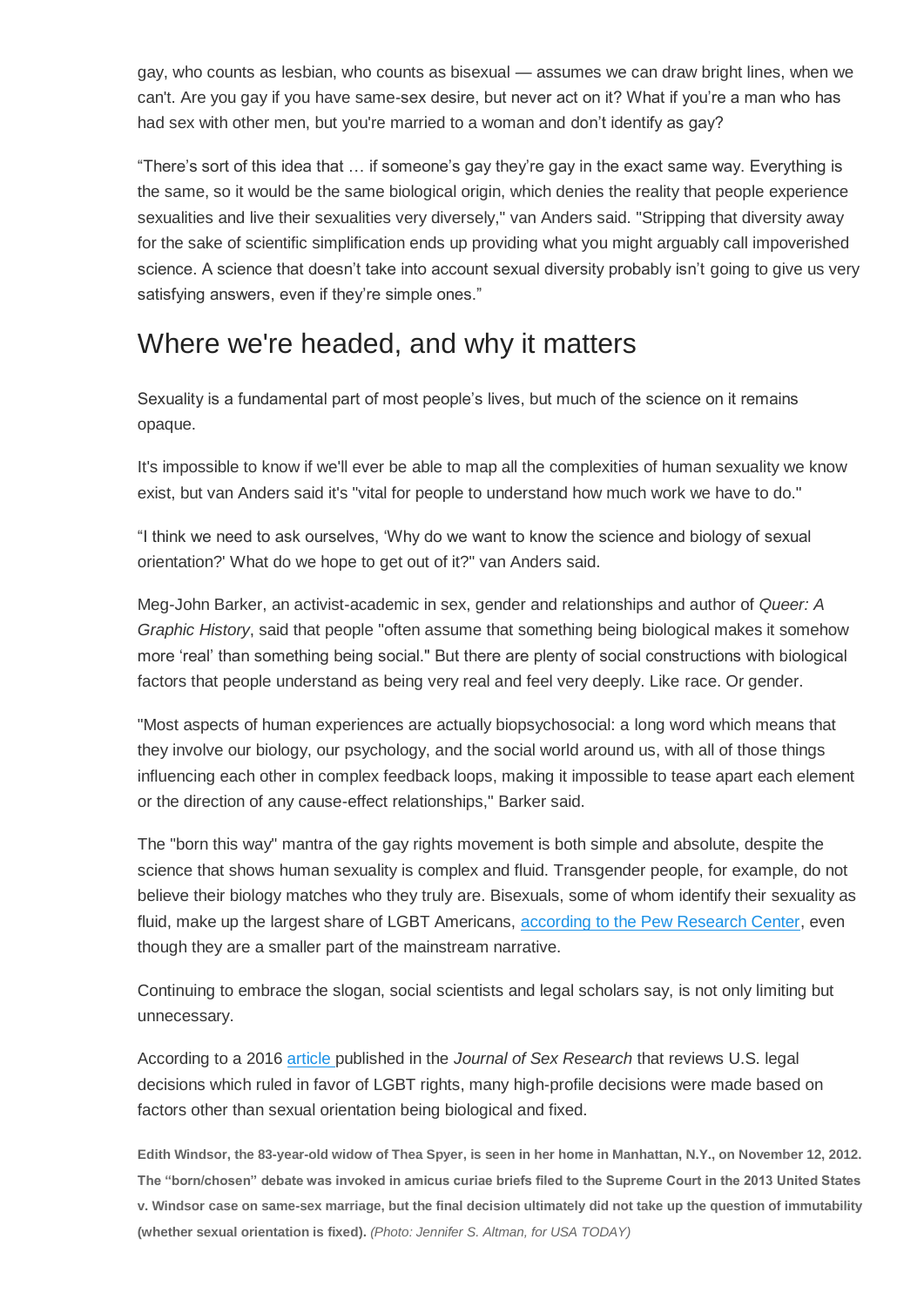gay, who counts as lesbian, who counts as bisexual — assumes we can draw bright lines, when we can't. Are you gay if you have same-sex desire, but never act on it? What if you're a man who has had sex with other men, but you're married to a woman and don't identify as gay?

"There's sort of this idea that … if someone's gay they're gay in the exact same way. Everything is the same, so it would be the same biological origin, which denies the reality that people experience sexualities and live their sexualities very diversely," van Anders said. "Stripping that diversity away for the sake of scientific simplification ends up providing what you might arguably call impoverished science. A science that doesn't take into account sexual diversity probably isn't going to give us very satisfying answers, even if they're simple ones."

## Where we're headed, and why it matters

Sexuality is a fundamental part of most people's lives, but much of the science on it remains opaque.

It's impossible to know if we'll ever be able to map all the complexities of human sexuality we know exist, but van Anders said it's "vital for people to understand how much work we have to do."

"I think we need to ask ourselves, 'Why do we want to know the science and biology of sexual orientation?' What do we hope to get out of it?" van Anders said.

Meg-John Barker, an activist-academic in sex, gender and relationships and author of *Queer: A Graphic History*, said that people "often assume that something being biological makes it somehow more 'real' than something being social." But there are plenty of social constructions with biological factors that people understand as being very real and feel very deeply. Like race. Or gender.

"Most aspects of human experiences are actually biopsychosocial: a long word which means that they involve our biology, our psychology, and the social world around us, with all of those things influencing each other in complex feedback loops, making it impossible to tease apart each element or the direction of any cause-effect relationships," Barker said.

The "born this way" mantra of the gay rights movement is both simple and absolute, despite the science that shows human sexuality is complex and fluid. Transgender people, for example, do not believe their biology matches who they truly are. Bisexuals, some of whom identify their sexuality as fluid, make up the largest share of LGBT Americans, [according to the Pew Research Center,](http://www.pewresearch.org/fact-tank/2017/06/13/5-key-findings-about-lgbt-americans/?utm_source=Pew+Research+Center&utm_campaign=fdaf12e91e-EMAIL_CAMPAIGN_2017_06_15&utm_medium=email&utm_term=0_3e953b9b70-fdaf12e91e-399607177) even though they are a smaller part of the mainstream narrative.

Continuing to embrace the slogan, social scientists and legal scholars say, is not only limiting but unnecessary.

According to a 2016 [article](https://www.ncbi.nlm.nih.gov/pubmed/26986464) published in the *Journal of Sex Research* that reviews U.S. legal decisions which ruled in favor of LGBT rights, many high-profile decisions were made based on factors other than sexual orientation being biological and fixed.

**Edith Windsor, the 83-year-old widow of Thea Spyer, is seen in her home in Manhattan, N.Y., on November 12, 2012. The "born/chosen" debate was invoked in amicus curiae briefs filed to the Supreme Court in the 2013 United States v. Windsor case on same-sex marriage, but the final decision ultimately did not take up the question of immutability (whether sexual orientation is fixed).** *(Photo: Jennifer S. Altman, for USA TODAY)*